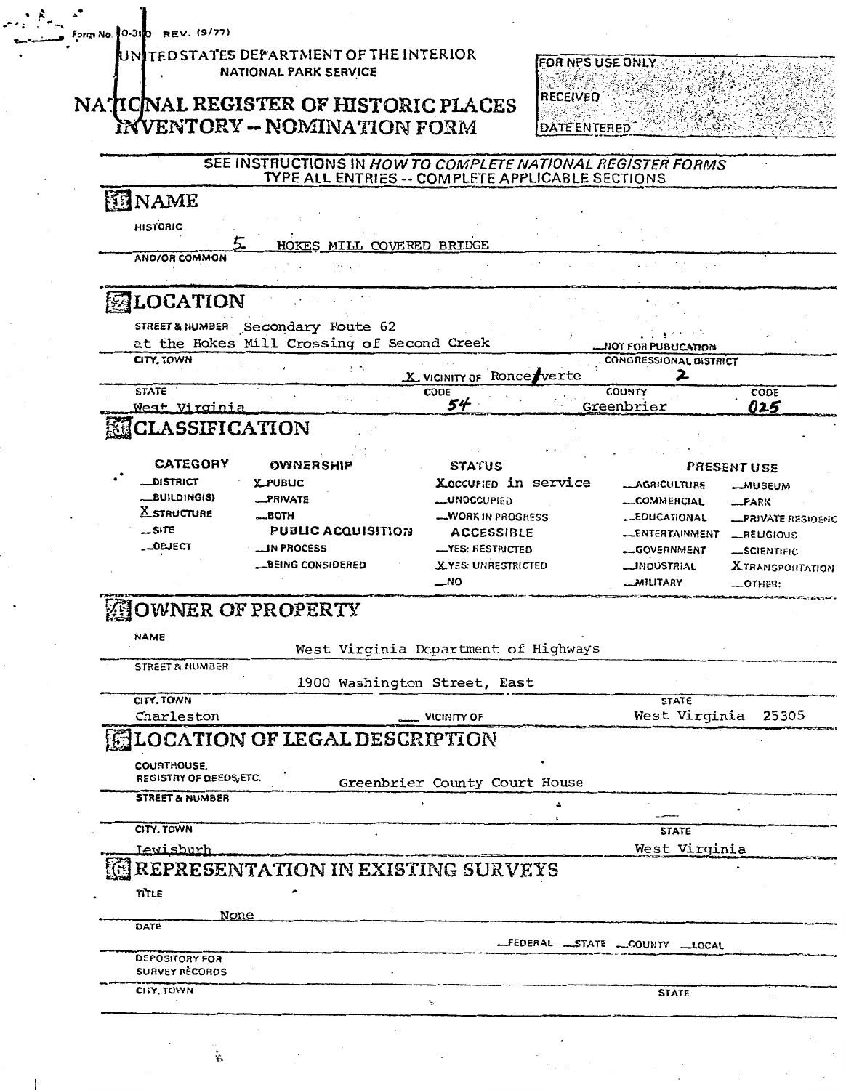REV. (9/77) Form No. 30-31

#### TED STATES DEPARTMENT OF THE INTERIOR UNI NATIONAL PARK SERVICE

### NATICNAL REGISTER OF HISTORIC PLACES INVENTORY -- NOMINATION FORM



# SEE INSTRUCTIONS IN HOW TO COMPLETE NATIONAL REGISTER FORMS<br>TYPE ALL ENTRIES -- COMPLETE APPLICABLE SECTIONS

| <b>ENAME</b><br><b>HISTORIC</b>        |                                            |                                      |   |                               |                           |
|----------------------------------------|--------------------------------------------|--------------------------------------|---|-------------------------------|---------------------------|
|                                        | HOKES MILL COVERED BRIDGE                  |                                      |   |                               |                           |
| AND/OR COMMON                          |                                            |                                      |   |                               |                           |
|                                        |                                            |                                      |   |                               |                           |
| <b>ALOCATION</b>                       |                                            |                                      |   |                               |                           |
|                                        | STREET& NUMBER Secondary Route 62          |                                      |   |                               |                           |
|                                        | at the Hokes Mill Crossing of Second Creek |                                      |   | MOT FOR PUBLICATION           |                           |
| CITY, TOWN                             | ಲ್                                         |                                      |   | <b>CONGRESSIONAL DISTRICT</b> |                           |
|                                        |                                            | X VICINITY OF RONCE Verte            |   | 2                             |                           |
| <b>STATE</b>                           |                                            | CODE                                 |   | <b>COUNTY</b>                 | CODE                      |
| West Virginia                          |                                            | 54                                   |   | Greenbrier                    | 025                       |
| <b>ELASSIFICATION</b>                  |                                            |                                      |   |                               |                           |
|                                        |                                            |                                      |   |                               |                           |
| CATEGORY                               | <b>OWNERSHIP</b>                           | <b>STATUS</b>                        |   |                               | <b>PRESENT USE</b>        |
| <b>LDISTRICT</b>                       | <b>XPUBLIC</b>                             | Xoccurien in service                 |   | <b>_AGRICULTURE</b>           | <b>__</b> MUSEUM          |
| __BUILDING(S)                          | _PRIVATE                                   | __UNOCCUPIED                         |   | COMMERCIAL                    | _PARK                     |
| <b>X</b> STRUCTURE                     | <b>MBOTH</b>                               | <b>WORK IN PROGRESS</b>              |   | <b>__EDUCATIONAL</b>          | <b>__PRIVATE RESIDENC</b> |
| _SITE                                  | <b>PUBLIC ACQUISITION</b>                  | <b>ACCESSIBLE</b>                    |   | LENTERTAINMENT                | _RELIGIOUS                |
| __OBJECT                               | <b>IN PROCESS</b>                          | <b>__YES: RESTRICTED</b>             |   | --GOVERNMENT                  | __SCIENTIFIC              |
|                                        | __BEING CONSIDERED                         | X.YES: UNRESTRICTED                  |   | __INDUSTRIAL                  | <b>XTRANSPORTATION</b>    |
|                                        |                                            | _NO                                  |   | <b>MILITARY</b>               | _OTHER:                   |
| NAME                                   |                                            | West Virginia Department of Highways |   |                               |                           |
| <b>STREET &amp; NUMBER</b>             |                                            |                                      |   |                               |                           |
|                                        |                                            | 1900 Washington Street, East         |   |                               |                           |
| CITY, TOWN                             |                                            |                                      |   | <b>STATE</b>                  |                           |
| Charleston                             |                                            | VICINITY OF                          |   | West Virginia                 | 25305                     |
|                                        | <b>LOCATION OF LEGAL DESCRIPTION</b>       |                                      |   |                               |                           |
|                                        |                                            |                                      |   |                               |                           |
| COURTHOUSE.<br>REGISTRY OF DEEDS, ETC. |                                            |                                      |   |                               |                           |
|                                        |                                            | Greenbrier County Court House        |   |                               |                           |
| <b>STREET &amp; NUMBER</b>             |                                            |                                      | ∸ |                               |                           |
| CITY, TOWN                             |                                            |                                      |   | <b>STATE</b>                  |                           |
| Iewisburh                              |                                            |                                      |   | West Virginia                 |                           |
|                                        |                                            |                                      |   |                               |                           |
|                                        | <b>REPRESENTATION IN EXISTING SURVEYS</b>  |                                      |   |                               |                           |
| TITLE                                  |                                            |                                      |   |                               |                           |
| <u>None</u>                            |                                            |                                      |   |                               |                           |
|                                        |                                            |                                      |   |                               |                           |
| DATE                                   |                                            |                                      |   |                               |                           |
|                                        |                                            |                                      |   | -FEDERAL STATE COUNTY LOCAL   |                           |
| <b>DEPOSITORY FOR</b>                  |                                            |                                      |   |                               |                           |
| <b>SURVEY RECORDS</b>                  |                                            |                                      |   |                               |                           |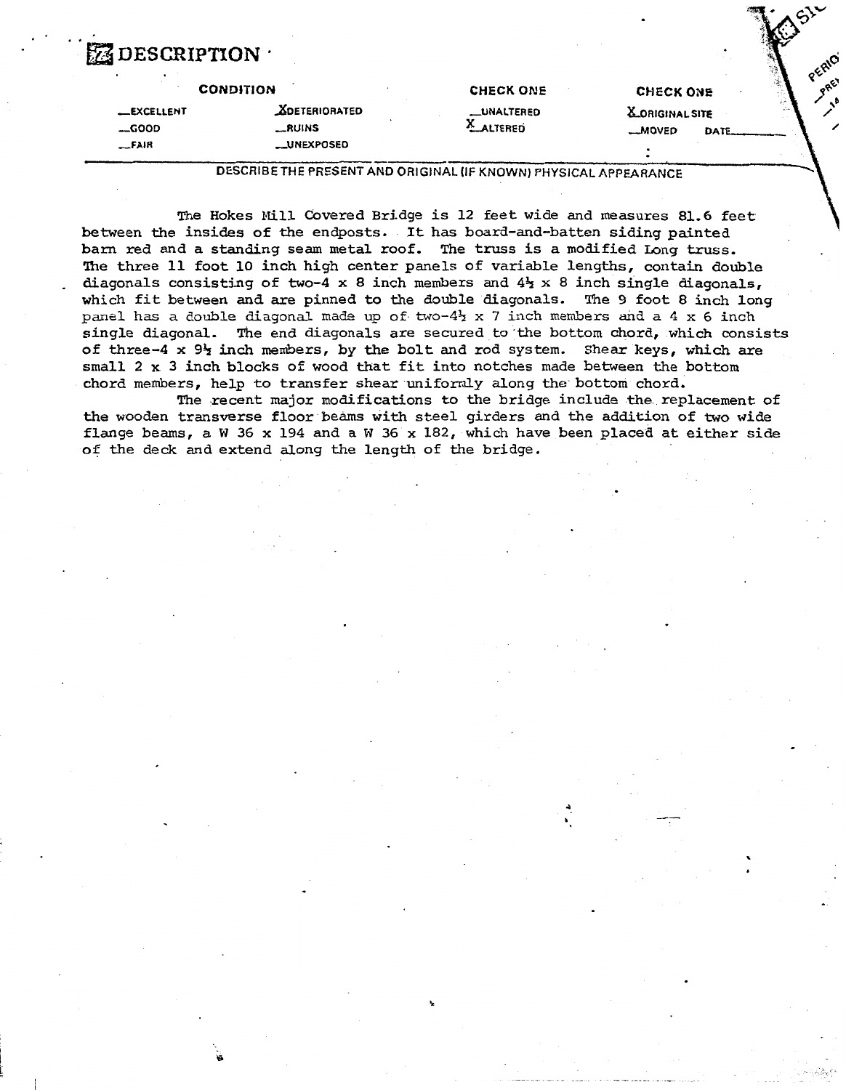## $\mathrm{DESGRIPTION}$  .

|                   | <b>CONDITION</b>     | <b>CHECK ONE</b>   | <b>CHECK ONE</b>       | ಿತ |
|-------------------|----------------------|--------------------|------------------------|----|
| <b>LEXCELLENT</b> | <b>ADETERIORATED</b> | <b>__UNALTERED</b> | <b>X_ORIGINAL SITE</b> |    |
| $-$ GOOD          | __RUINS              | <b>ALTERED</b>     | <b>MOVED</b>           |    |
| $-FAIR$           | __UNEXPOSED          |                    |                        |    |
|                   |                      |                    |                        |    |

DESCRIBE THE PRESENT AND ORIGINAL (IF KNOWN) PHYSICAL APPEARANCE

**The** Hokes Mill Covered Bridge is 12 feet wide and measures 81-6 feet between the insides of the endposts. It **has** board-and-batten siding painted barn red and a standing seam metal roof. The truss is a modified Long truss. **The** three 11 foot 10 inch high center panels of variable lengths, contain double diagonals consisting of two-4 x 8 inch members and **43** x 8 inch single diagonals, which fit between **and** are pinned to the double diagonals. The 9 foot 8 **inch** long **panel has** a double diagonal ma& up of **two-45** x 7 inch **members and** a 4 x 6 inch single diagonal. The end diagonals are secured to 'the bottom chord, which consists of three-4 **x 94 inch** members, by the bolt and rod system. Shear keys, which are small 2 x **3** inch blocks of wood that fit into notches made between the bottom chord members, help to transfer shear uniformly along the bottom chord.

The recent major modifications to the bridge include the replacement of the wooden transverse floor beams with steel girders **and** the addition of two wide flange beams, a W *36* x 194 and a **W** 46 x 182, which have been placed at either side of the deck and extend along the length of the bridge.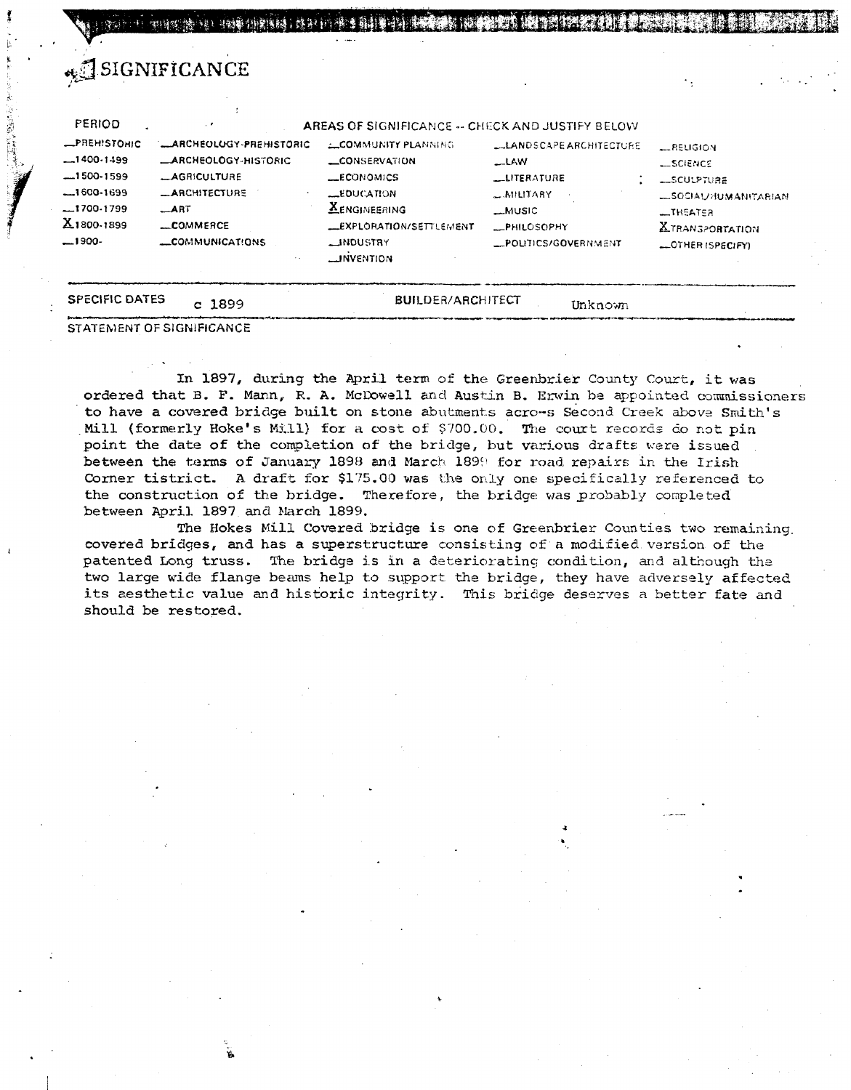| PERIOD                                                                                                        | . .                                                                                                                                                    | AREAS OF SIGNIFICANCE -- CHECK AND JUSTIFY BELOW                                                                                                                                      |                                                                                                                                             |                                                                                                                                                              |
|---------------------------------------------------------------------------------------------------------------|--------------------------------------------------------------------------------------------------------------------------------------------------------|---------------------------------------------------------------------------------------------------------------------------------------------------------------------------------------|---------------------------------------------------------------------------------------------------------------------------------------------|--------------------------------------------------------------------------------------------------------------------------------------------------------------|
| <b>_PREHISTOHIC</b><br>$-1400.1499$<br>$-1500-1599$<br>$-1600-1699$<br>$-1700.1799$<br>X1800-1899<br>$-1900-$ | <b>LARCHEOLOGY-PREHISTORIC</b><br><b>LARCHEOLOGY-HISTORIC</b><br><b>_AGRICULTURE</b><br><b>_ARCHITECTURE</b><br>$\_ART$<br>_COMMERCE<br>COMMUNICATIONS | <b>LOMMUNITY PLANNING</b><br><b>CONSERVATION</b><br><b>LECONOMICS</b><br>LEDUCATION<br><b>XENGINEERING</b><br><b>LEXPLORATION/SETTLEMENT</b><br><b>LINDUSTRY</b><br><b>LINVENTION</b> | <b>LLANDSCAPE ARCHITECTURE</b><br>$-LAW$<br><b>LLITERATURE</b><br>$\sim$ MILITARY<br>$-MUSIC$<br><b>_PHILOSOPHY</b><br>_POLITICS/GOVERNMENT | <b>LRELIGION</b><br><b>_SCIENCE</b><br><b>LISCULPTURE</b><br><b>LSOCIAL/HUMANITABIAN</b><br>$L$ THEATER<br><b>XTRANSPORTATION</b><br><b>LOTHER ISPECIFY)</b> |

SING CALL AND CONTROL OF STRE

In 1897, during the April term of the Greenbrier County Court, it was ordered that B. F. Mann, R. A. McDowell and Austin B. Erwin be appointed commissioners to have a covered bridge built on stone abutments acro-s Second Creek above Smith's Mill (formerly Hoke's Mill) for a cost of \$700.00. The court records do not pin point the date of the completion of the bridge, but various drafts were issued between the terms of January 1898 and March 1899 for road repairs in the Irish Corner tistrict. A draft for \$175.00 was the only one specifically referenced to the construction of the bridge. Therefore, the bridge was probably completed between April 1897 and Narch 1899.

The Hokes Mill Covered bridge is one of Greenbrier Counties two remaining. covered bridges, and has a superstructure consisting of a modified version of the patented Long truss. The bridge is in a deteriorating condition, and although the two large wide flange beams help to support the bridge, they have adversely affected its aesthetic value and historic integrity. This bridge deserves a better fate and should be restored.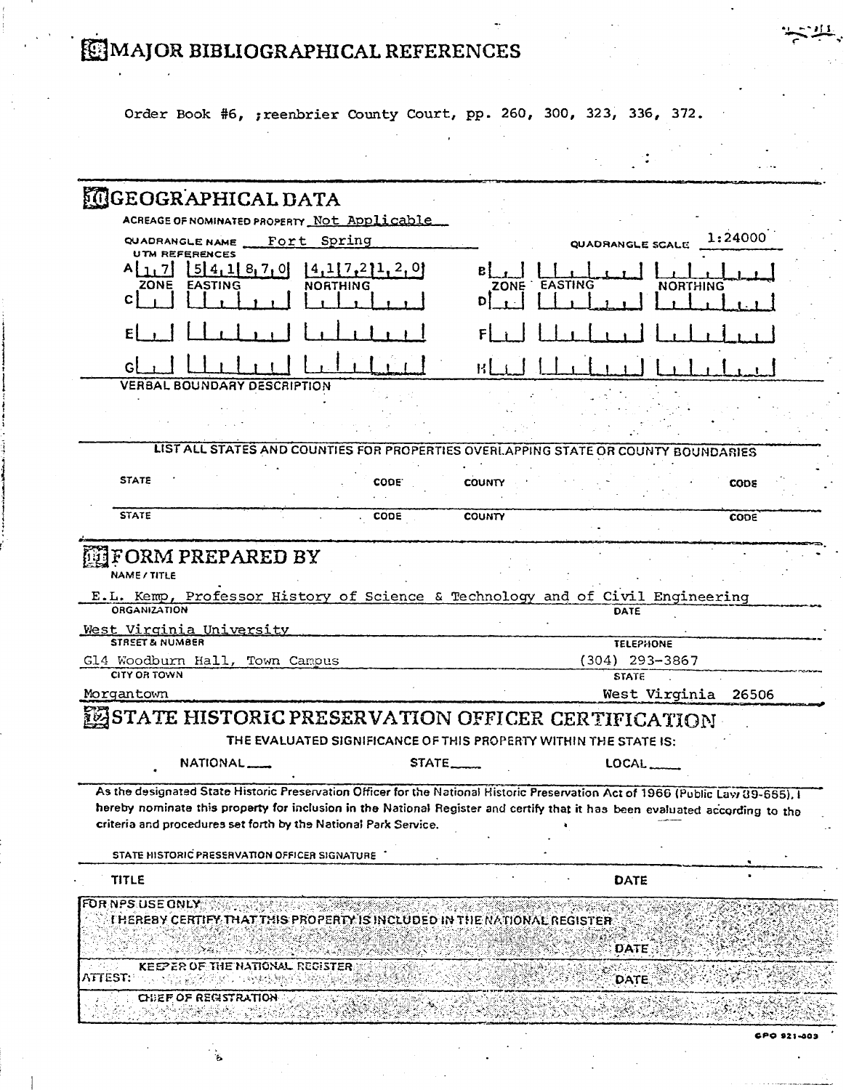# MAJOR BIBLIOGRAPHICAL REFERENCES

Order Book #6, ; reenbrier County Court, pp. 260, 300, 323, 336, 372.

| <b>MGEOGRAPHICAL DATA</b>                                                                   |                                                                                                                                                                                                                                                                                                                                    |                   |                               |             |
|---------------------------------------------------------------------------------------------|------------------------------------------------------------------------------------------------------------------------------------------------------------------------------------------------------------------------------------------------------------------------------------------------------------------------------------|-------------------|-------------------------------|-------------|
|                                                                                             | ACREAGE OF NOMINATED PROPERTY Not Applicable                                                                                                                                                                                                                                                                                       |                   |                               |             |
| QUADRANGLE NAME Fort Spring                                                                 |                                                                                                                                                                                                                                                                                                                                    |                   | QUADRANGLE SCALE              | 1:24000     |
| <b>UTM REFERENCES</b><br>54, 18, 7, 0<br>A   1   7  <br><b>ZONE</b><br><b>EASTING</b><br>C. | [4,1[7,2]1,2,0]<br>NORTHING                                                                                                                                                                                                                                                                                                        | ZONE EASTING<br>Ð | <b>NORTHING</b>               |             |
|                                                                                             |                                                                                                                                                                                                                                                                                                                                    |                   |                               |             |
|                                                                                             |                                                                                                                                                                                                                                                                                                                                    |                   |                               |             |
| <b>VERBAL BOUNDARY DESCRIPTION</b>                                                          |                                                                                                                                                                                                                                                                                                                                    |                   |                               |             |
|                                                                                             |                                                                                                                                                                                                                                                                                                                                    |                   |                               |             |
|                                                                                             | LIST ALL STATES AND COUNTIES FOR PROPERTIES OVERLAPPING STATE OR COUNTY BOUNDARIES                                                                                                                                                                                                                                                 |                   |                               |             |
| <b>STATE</b>                                                                                | CODE.                                                                                                                                                                                                                                                                                                                              | <b>COUNTY</b>     |                               | <b>CODE</b> |
| <b>STATE</b>                                                                                | CODE                                                                                                                                                                                                                                                                                                                               | <b>COUNTY</b>     |                               | CODE        |
| NAME / TITLE<br><b>ORGANIZATION</b>                                                         | E.L. Kemp, Professor History of Science & Technology and of Civil Engineering                                                                                                                                                                                                                                                      |                   | DATE                          |             |
| West Virginia University                                                                    |                                                                                                                                                                                                                                                                                                                                    |                   |                               |             |
|                                                                                             |                                                                                                                                                                                                                                                                                                                                    |                   |                               |             |
| <b>STREET &amp; NUMBER</b>                                                                  |                                                                                                                                                                                                                                                                                                                                    |                   | <b>TELEPHONE</b>              |             |
|                                                                                             |                                                                                                                                                                                                                                                                                                                                    |                   | $(304)$ 293-3867              |             |
| <b>CITY OR TOWN</b>                                                                         |                                                                                                                                                                                                                                                                                                                                    |                   | <b>STATE</b><br>West Virginia | 26506       |
|                                                                                             | LASTATE HISTORIC PRESERVATION OFFICER CERTIFICATION<br>THE EVALUATED SIGNIFICANCE OF THIS PROPERTY WITHIN THE STATE IS:                                                                                                                                                                                                            |                   |                               |             |
| Gl4 Woodburn Hall, Town Campus<br>Morgantown<br>NATIONAL_                                   | STATE.                                                                                                                                                                                                                                                                                                                             |                   | LOCAL                         |             |
|                                                                                             | As the designated State Historic Preservation Officer for the National Historic Preservation Act of 1966 (Public Law 89-665). I<br>hereby nominate this property for inclusion in the National Register and certify that it has been evaluated according to the<br>criteria and procedures set forth by the National Park Service. |                   |                               |             |
| STATE HISTORIC PRESERVATION OFFICER SIGNATURE                                               |                                                                                                                                                                                                                                                                                                                                    |                   |                               |             |
| <b>TITLE</b>                                                                                |                                                                                                                                                                                                                                                                                                                                    |                   | DATE                          |             |
|                                                                                             | THEREBY CERTIFY THAT THIS PROPERTY IS INCLUDED IN THE NATIONAL REGISTER                                                                                                                                                                                                                                                            |                   |                               |             |
|                                                                                             |                                                                                                                                                                                                                                                                                                                                    |                   | <b>DATE</b>                   |             |
| KEEPER OF THE NATIONAL REGISTER.                                                            |                                                                                                                                                                                                                                                                                                                                    |                   | <b>DATE</b>                   |             |
| FOR NPS USE ONLY<br>ATTEST:<br><b>CHEF OF REGISTRATION</b>                                  |                                                                                                                                                                                                                                                                                                                                    |                   |                               |             |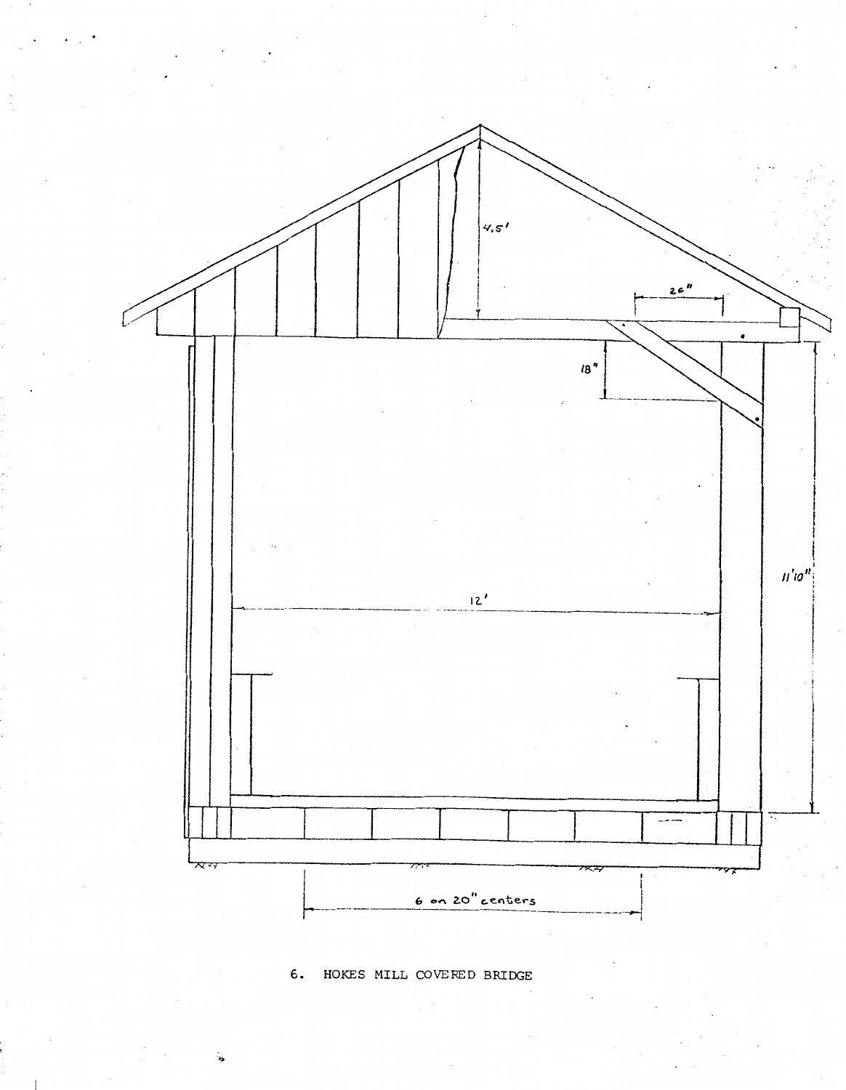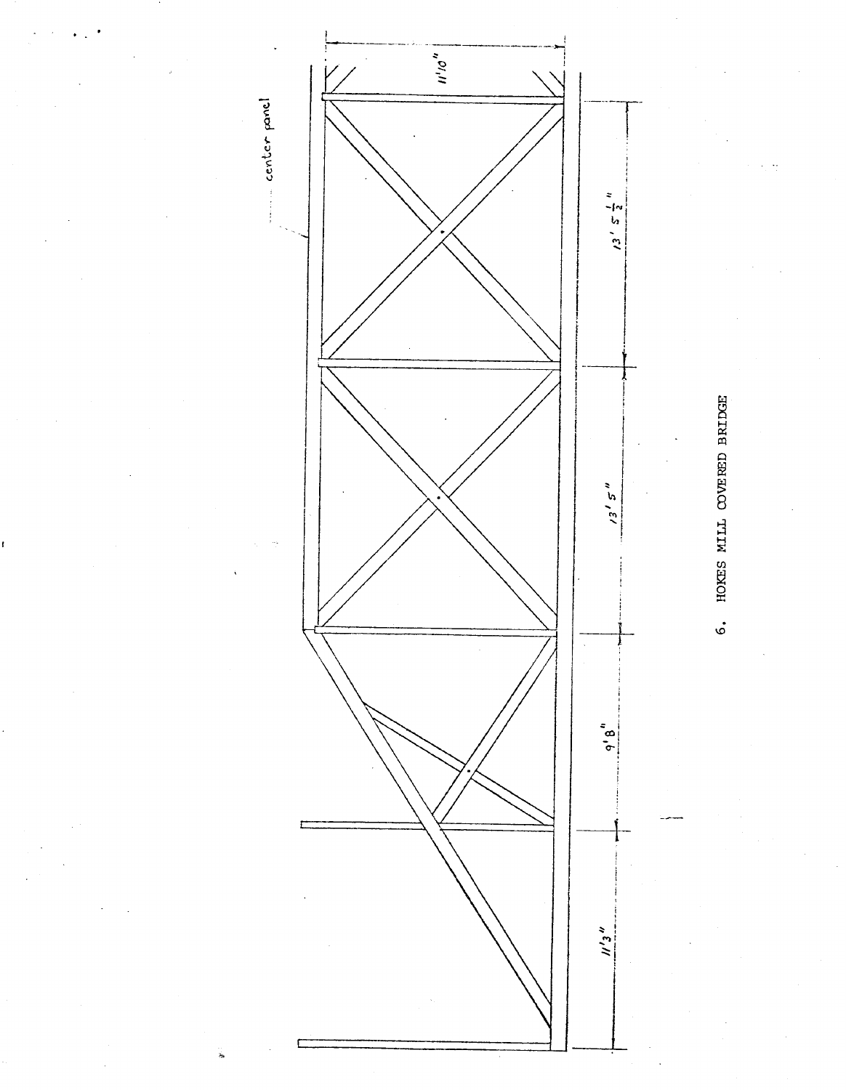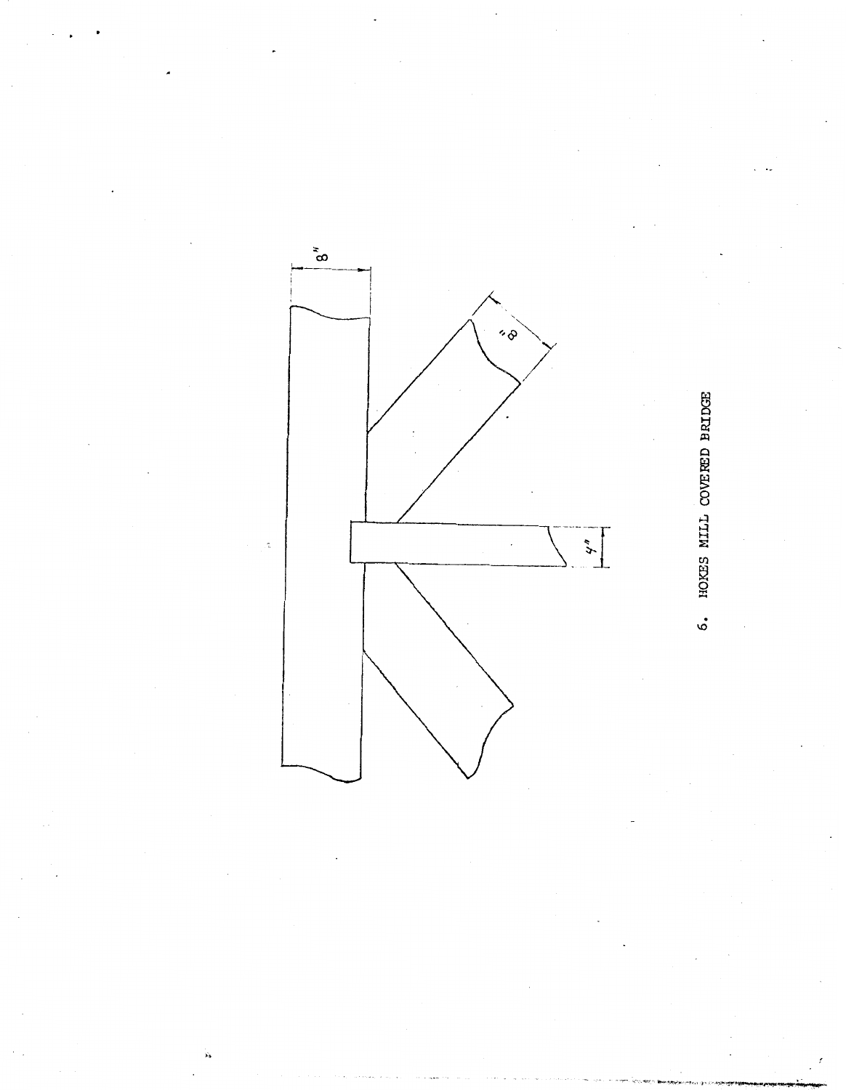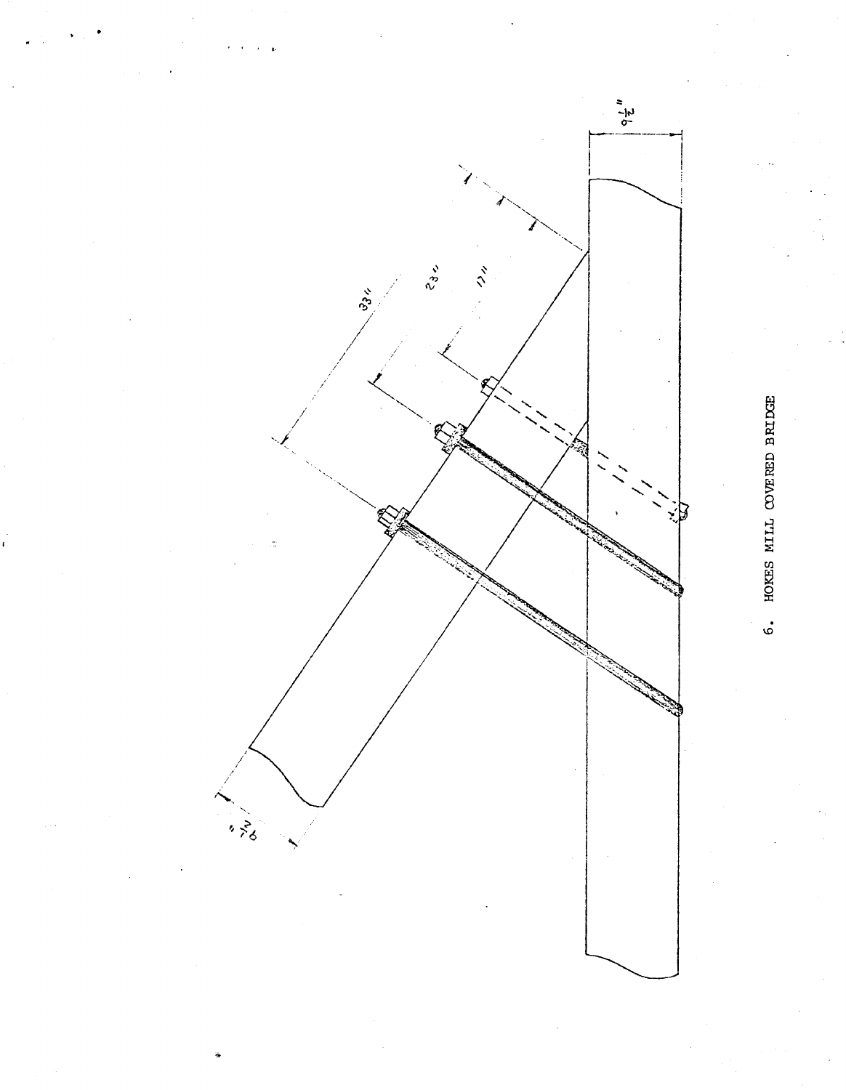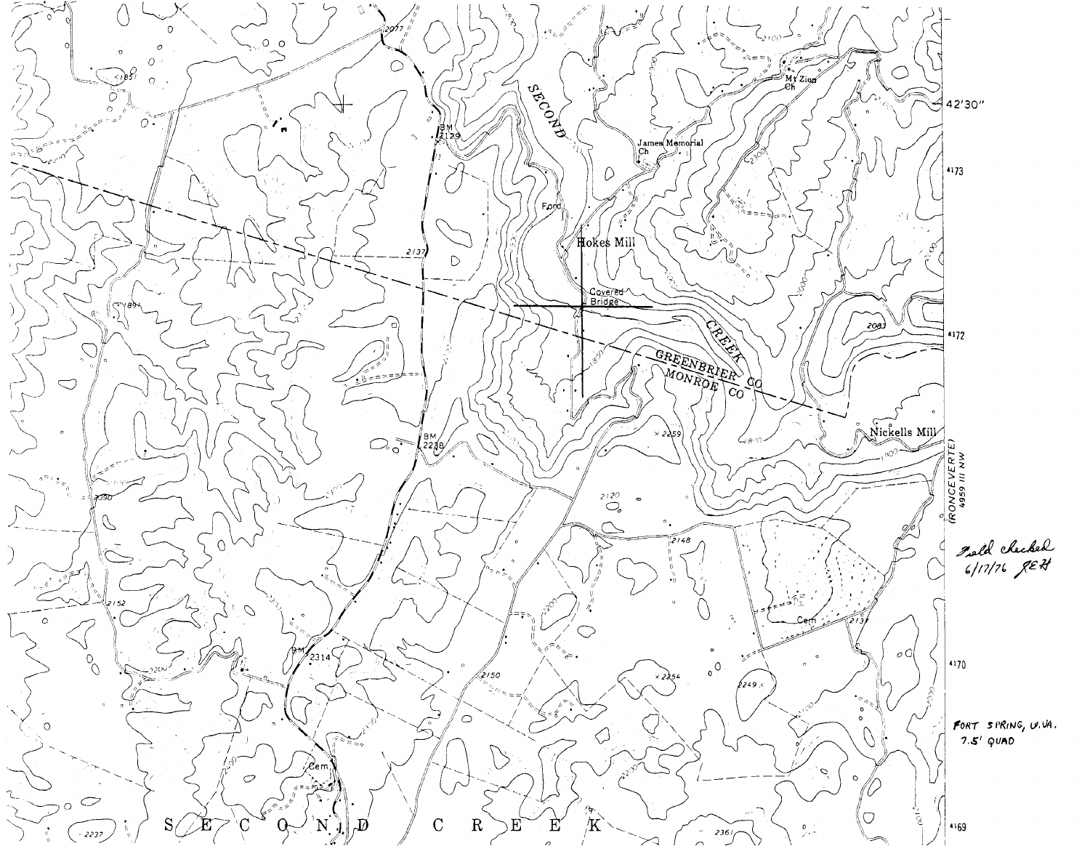